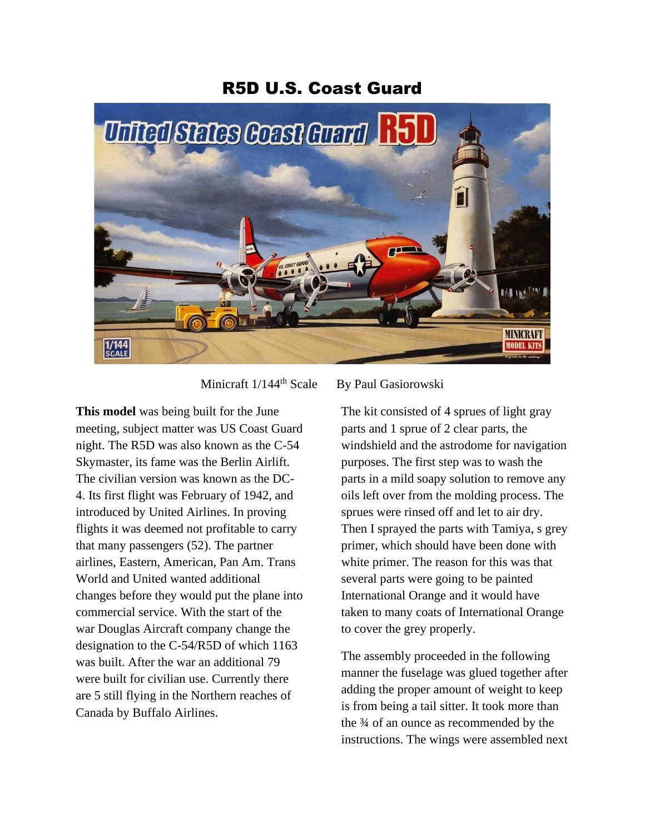## R5D U.S. Coast Guard



Minicraft 1/144<sup>th</sup> Scale By Paul Gasiorowski

**This model** was being built for the June meeting, subject matter was US Coast Guard night. The R5D was also known as the C-54 Skymaster, its fame was the Berlin Airlift. The civilian version was known as the DC-4. Its first flight was February of 1942, and introduced by United Airlines. In proving flights it was deemed not profitable to carry that many passengers (52). The partner airlines, Eastern, American, Pan Am. Trans World and United wanted additional changes before they would put the plane into commercial service. With the start of the war Douglas Aircraft company change the designation to the C-54/R5D of which 1163 was built. After the war an additional 79 were built for civilian use. Currently there are 5 still flying in the Northern reaches of Canada by Buffalo Airlines.

The kit consisted of 4 sprues of light gray parts and 1 sprue of 2 clear parts, the windshield and the astrodome for navigation purposes. The first step was to wash the parts in a mild soapy solution to remove any oils left over from the molding process. The sprues were rinsed off and let to air dry. Then I sprayed the parts with Tamiya, s grey primer, which should have been done with white primer. The reason for this was that several parts were going to be painted International Orange and it would have taken to many coats of International Orange to cover the grey properly.

The assembly proceeded in the following manner the fuselage was glued together after adding the proper amount of weight to keep is from being a tail sitter. It took more than the ¾ of an ounce as recommended by the instructions. The wings were assembled next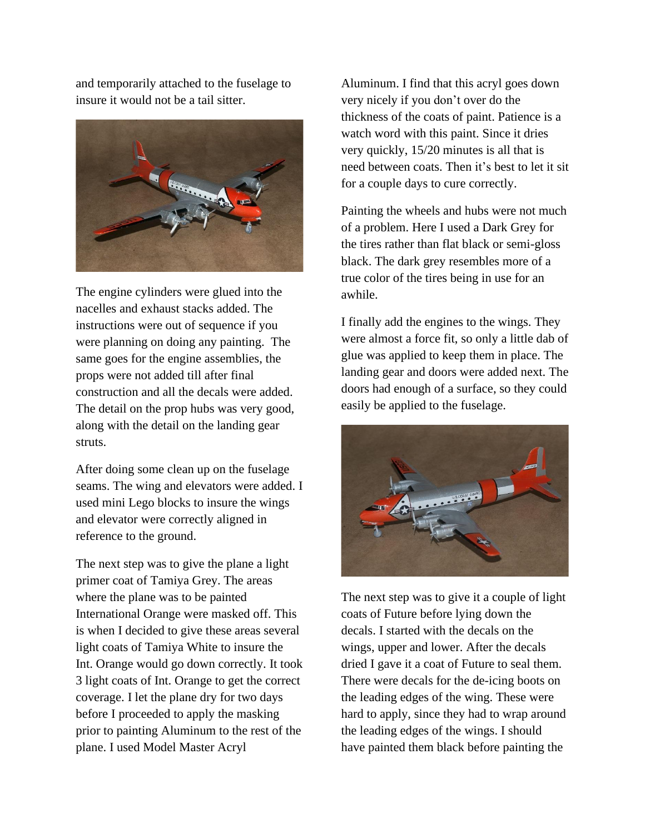and temporarily attached to the fuselage to insure it would not be a tail sitter.



The engine cylinders were glued into the nacelles and exhaust stacks added. The instructions were out of sequence if you were planning on doing any painting. The same goes for the engine assemblies, the props were not added till after final construction and all the decals were added. The detail on the prop hubs was very good, along with the detail on the landing gear struts.

After doing some clean up on the fuselage seams. The wing and elevators were added. I used mini Lego blocks to insure the wings and elevator were correctly aligned in reference to the ground.

The next step was to give the plane a light primer coat of Tamiya Grey. The areas where the plane was to be painted International Orange were masked off. This is when I decided to give these areas several light coats of Tamiya White to insure the Int. Orange would go down correctly. It took 3 light coats of Int. Orange to get the correct coverage. I let the plane dry for two days before I proceeded to apply the masking prior to painting Aluminum to the rest of the plane. I used Model Master Acryl

Aluminum. I find that this acryl goes down very nicely if you don't over do the thickness of the coats of paint. Patience is a watch word with this paint. Since it dries very quickly, 15/20 minutes is all that is need between coats. Then it's best to let it sit for a couple days to cure correctly.

Painting the wheels and hubs were not much of a problem. Here I used a Dark Grey for the tires rather than flat black or semi-gloss black. The dark grey resembles more of a true color of the tires being in use for an awhile.

I finally add the engines to the wings. They were almost a force fit, so only a little dab of glue was applied to keep them in place. The landing gear and doors were added next. The doors had enough of a surface, so they could easily be applied to the fuselage.



The next step was to give it a couple of light coats of Future before lying down the decals. I started with the decals on the wings, upper and lower. After the decals dried I gave it a coat of Future to seal them. There were decals for the de-icing boots on the leading edges of the wing. These were hard to apply, since they had to wrap around the leading edges of the wings. I should have painted them black before painting the